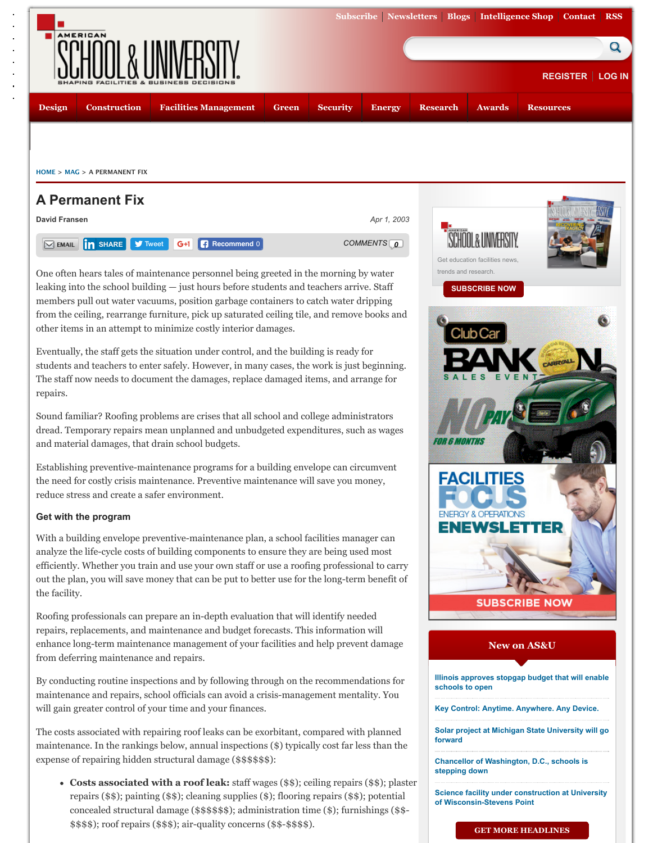Eventually, the staff gets the situation under control, and the building is ready for [students and teachers to enter safely. However, in](http://asumag.com/) many cases, the wor[k is just begi](https://penton.sub-forms.com/PEN6133_ASland)n The staff now needs to document the damages, replace damaged items, and arrange repairs.

Sound familiar? Roofing problems are crises that all school and college administrators dread. Temporary repairs mean unplanned and unbudgeted expenditures, such as w [and mate](http://asumag.com/planning-design)[rial damages, that](http://asumag.com/construction) [drain school budgets.](http://asumag.com/facilities-management)

Establishing preventive-maintenance programs for a b[uilding env](http://asumag.com/green)[elope can cir](http://asumag.com/safety-security)cumv [the need for c](http://asumag.com/current)ostly crisis maintenance. Preventive maintenance will save you money, reduce stress and create a safer environment.

# **[Get w](http://asumag.com/)[ith th](http://asumag.com/mag)e program**

With a building envelope preventive-maintenance plan, a school facilities manager on analyze the life-cycle costs of building components to ensure they are being used mo efficiently. Whether you train and use your own staff or use a roofing professional to out the pla[n, you will s](javascript:void(0);)[ave mone](https://twitter.com/intent/tweet?ref_src=twsrc%5Etfw&text=A%20Permanent%20Fix&tw_p=tweetbutton&url=http%3A%2F%2Fasumag.com%2Fmag%2Funiversity_permanent_fix&via=ASU_mag)y that can be put to better use for the long-term ben t[he facility](http://asumag.com/penton_ur/nojs/user/register?path=node%2F11258&nid=11258&source=email).

Roofing professionals can prepare an in-depth evaluation that will identify needed repairs, replacements, and maintenance and budget forecasts. This information will enhance long-term maintenance management of your facilities and help prevent dan from deferring maintenance and repairs.

By conducting routine inspections and by following through on the recommendation maintenance and repairs, school officials can avoid a crisis-management mentality. will gain greater control of your time and your finances.

The costs associated with repairing roof leaks can be exorbitant, compared with plan maintenance. In the rankings below, annual inspections  $(\$)$  typically cost far less than expense of repairing hidden structural damage (\$\$\$\$\$\$):

• Costs associated with a roof leak: staff wages (\$\$); ceiling repairs (\$\$) repairs ( $\$ \$); painting ( $\$ \$); cleaning supplies ( $\)$ ; flooring repairs ( $\$ \$); potential concealed structural damage (\$\$\$\$\$\$); administration time (\$); furnishing \$\$\$\$); roof repairs (\$\$\$); air-quality concerns (\$\$-\$\$\$\$).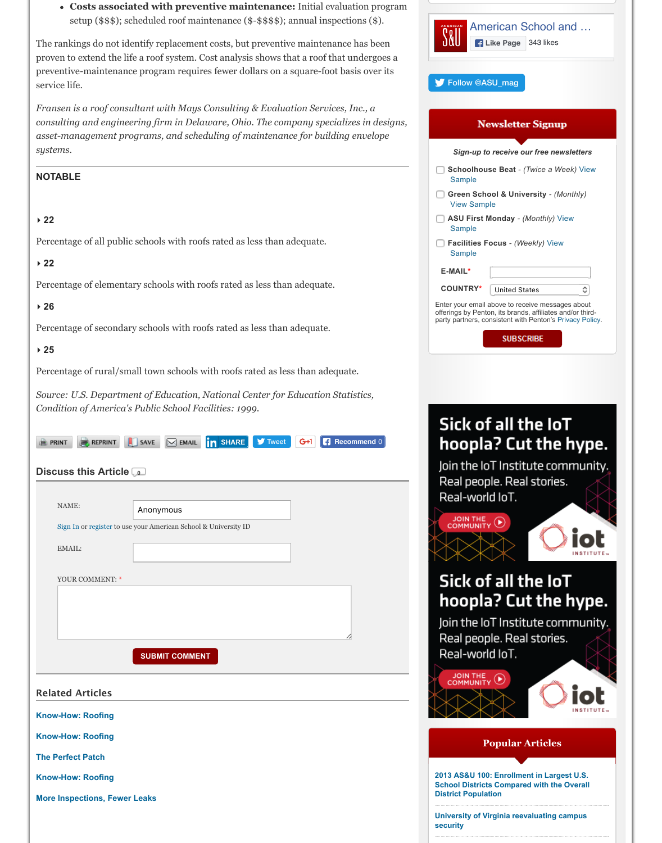**▸ 25**

Percentage of rural/small town schools with roofs rated as less than adequate.

*Source: U.S. Department of Education, National Center for Education Statistics, Condition of America's Public School Facilities: 1999*.

| $\mathbb{H}^+$<br><b>REPRINT</b><br><b>A</b> PRINT | SHARE V Tweet<br>SAVE                                           | $G+1$ | <b>Recommend 0</b> |
|----------------------------------------------------|-----------------------------------------------------------------|-------|--------------------|
|                                                    |                                                                 |       |                    |
| Discuss this Article <b>Discuss</b>                |                                                                 |       |                    |
|                                                    |                                                                 |       |                    |
| NAME:                                              | Anonymous                                                       |       |                    |
|                                                    | Sign In or register to use your American School & University ID |       |                    |
| EMAIL:                                             |                                                                 |       |                    |
|                                                    |                                                                 |       |                    |
| YOUR COMMENT: *                                    |                                                                 |       |                    |
|                                                    |                                                                 |       |                    |
|                                                    |                                                                 |       |                    |
|                                                    |                                                                 |       |                    |
|                                                    | <b>SUBMIT COMMENT</b>                                           |       |                    |
|                                                    |                                                                 |       |                    |
| <b>Related Articles</b>                            |                                                                 |       |                    |
| <b>Know-How: Roofing</b>                           |                                                                 |       |                    |
| <b>Know-How: Roofing</b>                           |                                                                 |       |                    |
| <b>The Perfect Patch</b>                           |                                                                 |       |                    |
| <b>Know-How: Roofing</b>                           |                                                                 |       |                    |
| <b>More Inspections, Fewer Leaks</b>               |                                                                 |       |                    |
|                                                    |                                                                 |       |                    |